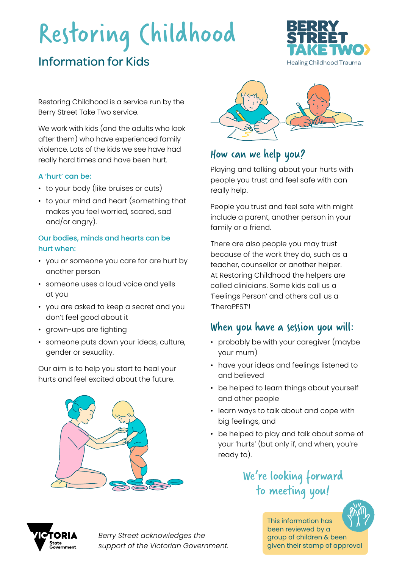# Restoring Childhood

# Information for Kids



Restoring Childhood is a service run by the Berry Street Take Two service.

We work with kids (and the adults who look after them) who have experienced family violence. Lots of the kids we see have had really hard times and have been hurt.

#### A 'hurt' can be:

- to your body (like bruises or cuts)
- to your mind and heart (something that makes you feel worried, scared, sad and/or angry).

#### Our bodies, minds and hearts can be hurt when:

- you or someone you care for are hurt by another person
- someone uses a loud voice and yells at you
- you are asked to keep a secret and you don't feel good about it
- grown-ups are fighting
- someone puts down your ideas, culture, gender or sexuality.

Our aim is to help you start to heal your hurts and feel excited about the future.





## How can we help you?

Playing and talking about your hurts with people you trust and feel safe with can really help.

People you trust and feel safe with might include a parent, another person in your family or a friend.

There are also people you may trust because of the work they do, such as a teacher, counsellor or another helper. At Restoring Childhood the helpers are called clinicians. Some kids call us a 'Feelings Person' and others call us a 'TheraPEST'!

### When you have a session you will:

- probably be with your caregiver (maybe your mum)
- have your ideas and feelings listened to and believed
- be helped to learn things about yourself and other people
- learn ways to talk about and cope with big feelings, and
- be helped to play and talk about some of your 'hurts' (but only if, and when, you're ready to).

## We're looking forward to meeting you!



*Berry Street acknowledges the support of the Victorian Government.* This information has been reviewed by a group of children & been given their stamp of approval